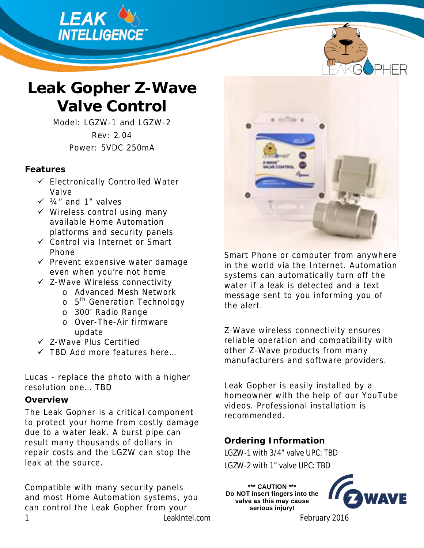



# **Leak Gopher Z-Wave Valve Control**

Model: LGZW-1 and LGZW-2 Rev: 2.04 Power: 5VDC 250mA

### **Features**

- $\checkmark$  Electronically Controlled Water Valve
- $\checkmark$   $\frac{3}{4}$ " and 1" valves
- $\checkmark$  Wireless control using many available Home Automation platforms and security panels
- $\checkmark$  Control via Internet or Smart Phone
- $\checkmark$  Prevent expensive water damage even when you're not home
- $\checkmark$  Z-Wave Wireless connectivity
	- o Advanced Mesh Network
	- o 5<sup>th</sup> Generation Technology
	- o 300' Radio Range
	- o Over-The-Air firmware update
- $\checkmark$  Z-Wave Plus Certified
- $\checkmark$  TBD Add more features here...

Lucas - replace the photo with a higher resolution one… TBD

### **Overview**

The Leak Gopher is a critical component to protect your home from costly damage due to a water leak. A burst pipe can result many thousands of dollars in repair costs and the LGZW can stop the leak at the source.

1 LeakIntel.com February 2016 Compatible with many security panels and most Home Automation systems, you can control the Leak Gopher from your



Smart Phone or computer from anywhere in the world via the Internet. Automation systems can automatically turn off the water if a leak is detected and a text message sent to you informing you of the alert.

Z-Wave wireless connectivity ensures reliable operation and compatibility with other Z-Wave products from many manufacturers and software providers.

Leak Gopher is easily installed by a homeowner with the help of our YouTube videos. Professional installation is recommended.

**Ordering Information**  LGZW-1 with 3/4" valve UPC: TBD LGZW-2 with 1" valve UPC: TBD

**\*\*\* CAUTION \*\*\* Do NOT insert fingers into the valve as this may cause serious injury!** 

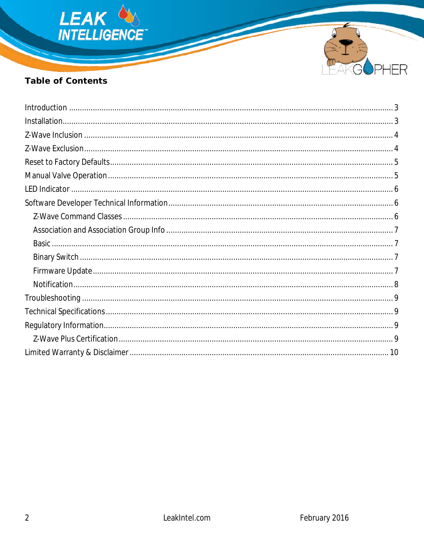



# Table of Contents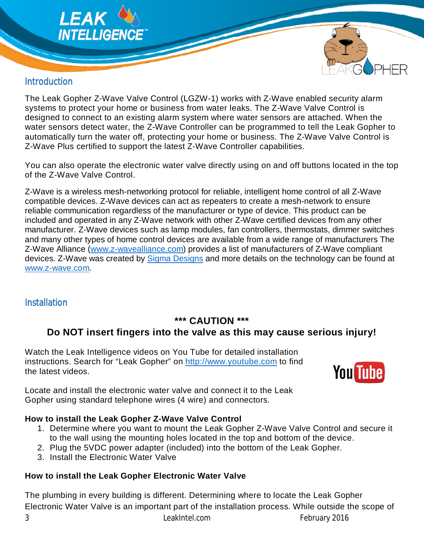



# **Introduction**

The Leak Gopher Z-Wave Valve Control (LGZW-1) works with Z-Wave enabled security alarm systems to protect your home or business from water leaks. The Z-Wave Valve Control is designed to connect to an existing alarm system where water sensors are attached. When the water sensors detect water, the Z-Wave Controller can be programmed to tell the Leak Gopher to automatically turn the water off, protecting your home or business. The Z-Wave Valve Control is Z-Wave Plus certified to support the latest Z-Wave Controller capabilities.

You can also operate the electronic water valve directly using on and off buttons located in the top of the Z-Wave Valve Control.

Z-Wave is a wireless mesh-networking protocol for reliable, intelligent home control of all Z-Wave compatible devices. Z-Wave devices can act as repeaters to create a mesh-network to ensure reliable communication regardless of the manufacturer or type of device. This product can be included and operated in any Z-Wave network with other Z-Wave certified devices from any other manufacturer. Z-Wave devices such as lamp modules, fan controllers, thermostats, dimmer switches and many other types of home control devices are available from a wide range of manufacturers The Z-Wave Alliance (www.z-wavealliance.com) provides a list of manufacturers of Z-Wave compliant devices. Z-Wave was created by Sigma Designs and more details on the technology can be found at www.z-wave.com.

# **Installation**

# **\*\*\* CAUTION \*\*\***

# **Do NOT insert fingers into the valve as this may cause serious injury!**

Watch the Leak Intelligence videos on You Tube for detailed installation instructions. Search for "Leak Gopher" on http://www.youtube.com to find the latest videos.



Locate and install the electronic water valve and connect it to the Leak Gopher using standard telephone wires (4 wire) and connectors.

### **How to install the Leak Gopher Z-Wave Valve Control**

- 1. Determine where you want to mount the Leak Gopher Z-Wave Valve Control and secure it to the wall using the mounting holes located in the top and bottom of the device.
- 2. Plug the 5VDC power adapter (included) into the bottom of the Leak Gopher.
- 3. Install the Electronic Water Valve

# **How to install the Leak Gopher Electronic Water Valve**

The plumbing in every building is different. Determining where to locate the Leak Gopher Electronic Water Valve is an important part of the installation process. While outside the scope of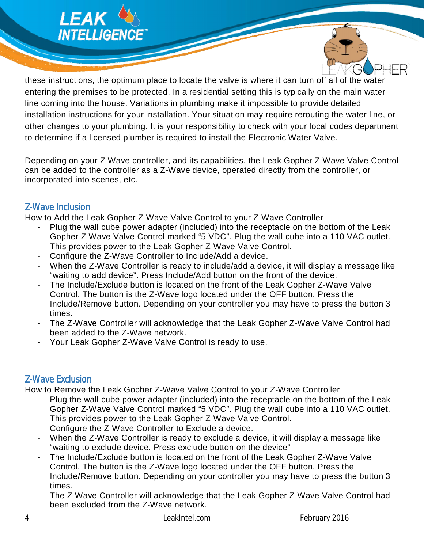



these instructions, the optimum place to locate the valve is where it can turn off all of the water entering the premises to be protected. In a residential setting this is typically on the main water line coming into the house. Variations in plumbing make it impossible to provide detailed installation instructions for your installation. Your situation may require rerouting the water line, or other changes to your plumbing. It is your responsibility to check with your local codes department to determine if a licensed plumber is required to install the Electronic Water Valve.

Depending on your Z-Wave controller, and its capabilities, the Leak Gopher Z-Wave Valve Control can be added to the controller as a Z-Wave device, operated directly from the controller, or incorporated into scenes, etc.

### Z-Wave Inclusion

How to Add the Leak Gopher Z-Wave Valve Control to your Z-Wave Controller

- Plug the wall cube power adapter (included) into the receptacle on the bottom of the Leak Gopher Z-Wave Valve Control marked "5 VDC". Plug the wall cube into a 110 VAC outlet. This provides power to the Leak Gopher Z-Wave Valve Control.
- Configure the Z-Wave Controller to Include/Add a device.
- When the Z-Wave Controller is ready to include/add a device, it will display a message like "waiting to add device". Press Include/Add button on the front of the device.
- The Include/Exclude button is located on the front of the Leak Gopher Z-Wave Valve Control. The button is the Z-Wave logo located under the OFF button. Press the Include/Remove button. Depending on your controller you may have to press the button 3 times.
- The Z-Wave Controller will acknowledge that the Leak Gopher Z-Wave Valve Control had been added to the Z-Wave network.
- Your Leak Gopher Z-Wave Valve Control is ready to use.

# Z-Wave Exclusion

How to Remove the Leak Gopher Z-Wave Valve Control to your Z-Wave Controller

- Plug the wall cube power adapter (included) into the receptacle on the bottom of the Leak Gopher Z-Wave Valve Control marked "5 VDC". Plug the wall cube into a 110 VAC outlet. This provides power to the Leak Gopher Z-Wave Valve Control.
- Configure the Z-Wave Controller to Exclude a device.
- When the Z-Wave Controller is ready to exclude a device, it will display a message like "waiting to exclude device. Press exclude button on the device"
- The Include/Exclude button is located on the front of the Leak Gopher Z-Wave Valve Control. The button is the Z-Wave logo located under the OFF button. Press the Include/Remove button. Depending on your controller you may have to press the button 3 times.
- The Z-Wave Controller will acknowledge that the Leak Gopher Z-Wave Valve Control had been excluded from the Z-Wave network.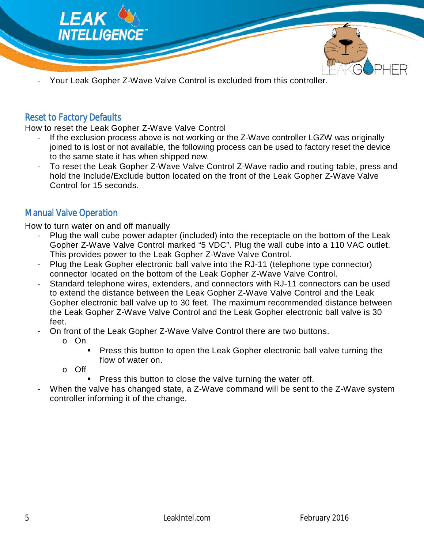

Your Leak Gopher Z-Wave Valve Control is excluded from this controller.

### Reset to Factory Defaults

How to reset the Leak Gopher Z-Wave Valve Control

- If the exclusion process above is not working or the Z-Wave controller LGZW was originally joined to is lost or not available, the following process can be used to factory reset the device to the same state it has when shipped new.
- To reset the Leak Gopher Z-Wave Valve Control Z-Wave radio and routing table, press and hold the Include/Exclude button located on the front of the Leak Gopher Z-Wave Valve Control for 15 seconds.

### Manual Valve Operation

How to turn water on and off manually

- Plug the wall cube power adapter (included) into the receptacle on the bottom of the Leak Gopher Z-Wave Valve Control marked "5 VDC". Plug the wall cube into a 110 VAC outlet. This provides power to the Leak Gopher Z-Wave Valve Control.
- Plug the Leak Gopher electronic ball valve into the RJ-11 (telephone type connector) connector located on the bottom of the Leak Gopher Z-Wave Valve Control.
- Standard telephone wires, extenders, and connectors with RJ-11 connectors can be used to extend the distance between the Leak Gopher Z-Wave Valve Control and the Leak Gopher electronic ball valve up to 30 feet. The maximum recommended distance between the Leak Gopher Z-Wave Valve Control and the Leak Gopher electronic ball valve is 30 feet.
- On front of the Leak Gopher Z-Wave Valve Control there are two buttons.
	- o On
		- Press this button to open the Leak Gopher electronic ball valve turning the flow of water on.

o Off

- Press this button to close the valve turning the water off.
- When the valve has changed state, a Z-Wave command will be sent to the Z-Wave system controller informing it of the change.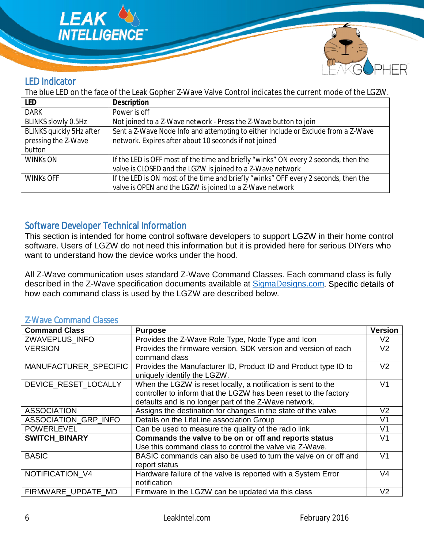



# LED Indicator

The blue LED on the face of the Leak Gopher Z-Wave Valve Control indicates the current mode of the LGZW.

| LED                      | Description                                                                         |
|--------------------------|-------------------------------------------------------------------------------------|
| <b>DARK</b>              | Power is off                                                                        |
| BLINKS slowly 0.5Hz      | Not joined to a Z-Wave network - Press the Z-Wave button to join                    |
| BLINKS quickly 5Hz after | Sent a Z-Wave Node Info and attempting to either Include or Exclude from a Z-Wave   |
| pressing the Z-Wave      | network. Expires after about 10 seconds if not joined                               |
| button                   |                                                                                     |
| <b>WINKS ON</b>          | If the LED is OFF most of the time and briefly "winks" ON every 2 seconds, then the |
|                          | valve is CLOSED and the LGZW is joined to a Z-Wave network                          |
| <b>WINKS OFF</b>         | If the LED is ON most of the time and briefly "winks" OFF every 2 seconds, then the |
|                          | valve is OPEN and the LGZW is joined to a Z-Wave network                            |

### Software Developer Technical Information

This section is intended for home control software developers to support LGZW in their home control software. Users of LGZW do not need this information but it is provided here for serious DIYers who want to understand how the device works under the hood.

All Z-Wave communication uses standard Z-Wave Command Classes. Each command class is fully described in the Z-Wave specification documents available at SigmaDesigns.com. Specific details of how each command class is used by the LGZW are described below.

| Z-Wave Conninguid Classes |                                                                                                                                                                                            |                |
|---------------------------|--------------------------------------------------------------------------------------------------------------------------------------------------------------------------------------------|----------------|
| <b>Command Class</b>      | <b>Purpose</b>                                                                                                                                                                             | <b>Version</b> |
| <b>ZWAVEPLUS INFO</b>     | Provides the Z-Wave Role Type, Node Type and Icon                                                                                                                                          | V2             |
| <b>VERSION</b>            | Provides the firmware version, SDK version and version of each<br>command class                                                                                                            | V <sub>2</sub> |
| MANUFACTURER_SPECIFIC     | Provides the Manufacturer ID, Product ID and Product type ID to<br>uniquely identify the LGZW.                                                                                             | V <sub>2</sub> |
| DEVICE_RESET_LOCALLY      | When the LGZW is reset locally, a notification is sent to the<br>controller to inform that the LGZW has been reset to the factory<br>defaults and is no longer part of the Z-Wave network. | V <sub>1</sub> |
| <b>ASSOCIATION</b>        | Assigns the destination for changes in the state of the valve                                                                                                                              | V <sub>2</sub> |
| ASSOCIATION_GRP_INFO      | Details on the LifeLine association Group                                                                                                                                                  | V1             |
| <b>POWERLEVEL</b>         | Can be used to measure the quality of the radio link                                                                                                                                       | V <sub>1</sub> |
| <b>SWITCH BINARY</b>      | Commands the valve to be on or off and reports status<br>Use this command class to control the valve via Z-Wave.                                                                           | V <sub>1</sub> |
| <b>BASIC</b>              | BASIC commands can also be used to turn the valve on or off and<br>report status                                                                                                           | V <sub>1</sub> |
| NOTIFICATION V4           | Hardware failure of the valve is reported with a System Error<br>notification                                                                                                              | V4             |
| FIRMWARE UPDATE MD        | Firmware in the LGZW can be updated via this class                                                                                                                                         | V <sub>2</sub> |

### Ways Command Cla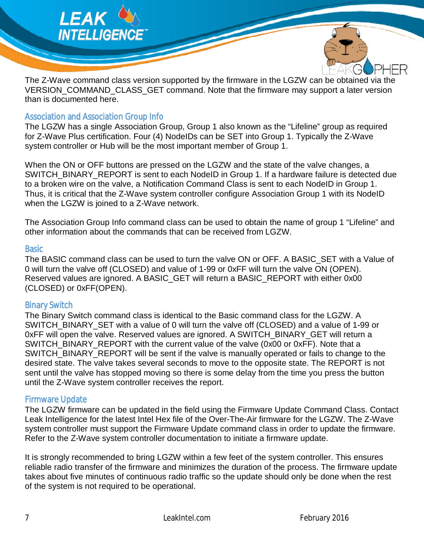

The Z-Wave command class version supported by the firmware in the LGZW can be obtained via the VERSION COMMAND CLASS GET command. Note that the firmware may support a later version than is documented here.

#### Association and Association Group Info

The LGZW has a single Association Group, Group 1 also known as the "Lifeline" group as required for Z-Wave Plus certification. Four (4) NodeIDs can be SET into Group 1. Typically the Z-Wave system controller or Hub will be the most important member of Group 1.

When the ON or OFF buttons are pressed on the LGZW and the state of the valve changes, a SWITCH\_BINARY\_REPORT is sent to each NodeID in Group 1. If a hardware failure is detected due to a broken wire on the valve, a Notification Command Class is sent to each NodeID in Group 1. Thus, it is critical that the Z-Wave system controller configure Association Group 1 with its NodeID when the LGZW is joined to a Z-Wave network.

The Association Group Info command class can be used to obtain the name of group 1 "Lifeline" and other information about the commands that can be received from LGZW.

#### **Basic**

The BASIC command class can be used to turn the valve ON or OFF. A BASIC SET with a Value of 0 will turn the valve off (CLOSED) and value of 1-99 or 0xFF will turn the valve ON (OPEN). Reserved values are ignored. A BASIC GET will return a BASIC REPORT with either 0x00 (CLOSED) or 0xFF(OPEN).

#### Binary Switch

The Binary Switch command class is identical to the Basic command class for the LGZW. A SWITCH\_BINARY\_SET with a value of 0 will turn the valve off (CLOSED) and a value of 1-99 or 0xFF will open the valve. Reserved values are ignored. A SWITCH\_BINARY\_GET will return a SWITCH\_BINARY\_REPORT with the current value of the valve (0x00 or 0xFF). Note that a SWITCH\_BINARY\_REPORT will be sent if the valve is manually operated or fails to change to the desired state. The valve takes several seconds to move to the opposite state. The REPORT is not sent until the valve has stopped moving so there is some delay from the time you press the button until the Z-Wave system controller receives the report.

#### Firmware Update

The LGZW firmware can be updated in the field using the Firmware Update Command Class. Contact Leak Intelligence for the latest Intel Hex file of the Over-The-Air firmware for the LGZW. The Z-Wave system controller must support the Firmware Update command class in order to update the firmware. Refer to the Z-Wave system controller documentation to initiate a firmware update.

It is strongly recommended to bring LGZW within a few feet of the system controller. This ensures reliable radio transfer of the firmware and minimizes the duration of the process. The firmware update takes about five minutes of continuous radio traffic so the update should only be done when the rest of the system is not required to be operational.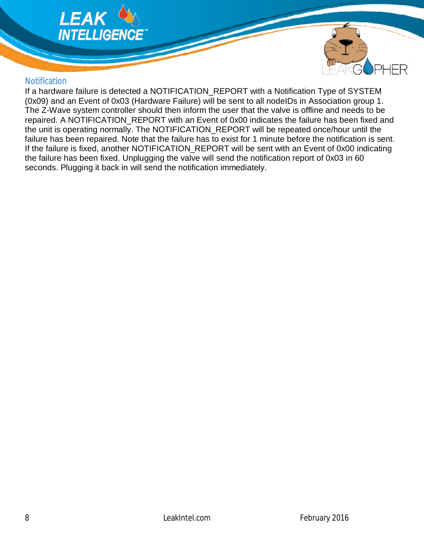



### **Notification**

If a hardware failure is detected a NOTIFICATION\_REPORT with a Notification Type of SYSTEM (0x09) and an Event of 0x03 (Hardware Failure) will be sent to all nodeIDs in Association group 1. The Z-Wave system controller should then inform the user that the valve is offline and needs to be repaired. A NOTIFICATION REPORT with an Event of 0x00 indicates the failure has been fixed and the unit is operating normally. The NOTIFICATION\_REPORT will be repeated once/hour until the failure has been repaired. Note that the failure has to exist for 1 minute before the notification is sent. If the failure is fixed, another NOTIFICATION\_REPORT will be sent with an Event of 0x00 indicating the failure has been fixed. Unplugging the valve will send the notification report of 0x03 in 60 seconds. Plugging it back in will send the notification immediately.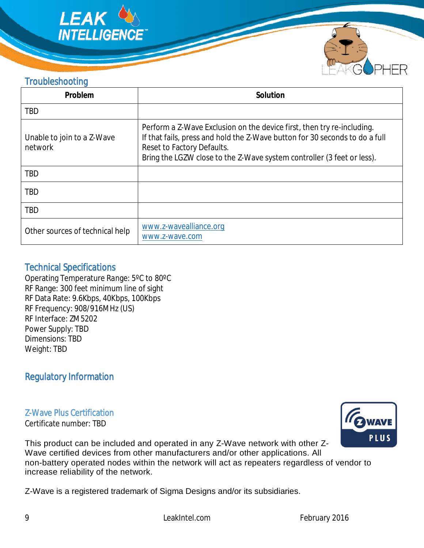



# **Troubleshooting**

| Problem                               | Solution                                                                                                                                                                                                                                                      |
|---------------------------------------|---------------------------------------------------------------------------------------------------------------------------------------------------------------------------------------------------------------------------------------------------------------|
| <b>TBD</b>                            |                                                                                                                                                                                                                                                               |
| Unable to join to a Z-Wave<br>network | Perform a Z-Wave Exclusion on the device first, then try re-including.<br>If that fails, press and hold the Z-Wave button for 30 seconds to do a full<br>Reset to Factory Defaults.<br>Bring the LGZW close to the Z-Wave system controller (3 feet or less). |
| <b>TBD</b>                            |                                                                                                                                                                                                                                                               |
| <b>TBD</b>                            |                                                                                                                                                                                                                                                               |
| <b>TBD</b>                            |                                                                                                                                                                                                                                                               |
| Other sources of technical help       | www.z-wavealliance.org<br>www.z-wave.com                                                                                                                                                                                                                      |

### Technical Specifications

Operating Temperature Range: 5ºC to 80ºC RF Range: 300 feet minimum line of sight RF Data Rate: 9.6Kbps, 40Kbps, 100Kbps RF Frequency: 908/916MHz (US) RF Interface: ZM5202 Power Supply: TBD Dimensions: TBD Weight: TBD

# Regulatory Information

Z-Wave Plus Certification

Certificate number: TBD



This product can be included and operated in any Z-Wave network with other Z-Wave certified devices from other manufacturers and/or other applications. All non-battery operated nodes within the network will act as repeaters regardless of vendor to increase reliability of the network.

Z-Wave is a registered trademark of Sigma Designs and/or its subsidiaries.